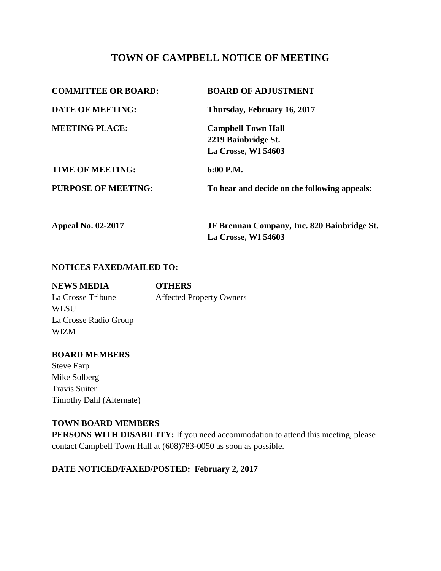# **TOWN OF CAMPBELL NOTICE OF MEETING**

| <b>COMMITTEE OR BOARD:</b> | <b>BOARD OF ADJUSTMENT</b>                       |
|----------------------------|--------------------------------------------------|
| <b>DATE OF MEETING:</b>    | Thursday, February 16, 2017                      |
| <b>MEETING PLACE:</b>      | <b>Campbell Town Hall</b><br>2219 Bainbridge St. |
| <b>TIME OF MEETING:</b>    | La Crosse, WI 54603<br>6:00 P.M.                 |
| <b>PURPOSE OF MEETING:</b> | To hear and decide on the following appeals:     |
| <b>Appeal No. 02-2017</b>  | JF Brennan Company, Inc. 820 Bainbridge St.      |

**La Crosse, WI 54603**

**NOTICES FAXED/MAILED TO:**

| <b>NEWS MEDIA</b>     | <b>OTHERS</b>                   |
|-----------------------|---------------------------------|
| La Crosse Tribune     | <b>Affected Property Owners</b> |
| WLSU                  |                                 |
| La Crosse Radio Group |                                 |
| <b>WIZM</b>           |                                 |
|                       |                                 |

### **BOARD MEMBERS**

Steve Earp Mike Solberg Travis Suiter Timothy Dahl (Alternate)

### **TOWN BOARD MEMBERS**

**PERSONS WITH DISABILITY:** If you need accommodation to attend this meeting, please contact Campbell Town Hall at (608)783-0050 as soon as possible.

## **DATE NOTICED/FAXED/POSTED: February 2, 2017**